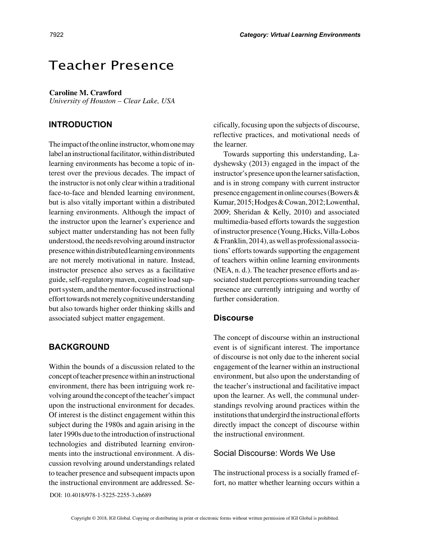# Teacher Presence

**Caroline M. Crawford**

*University of Houston – Clear Lake, USA*

## **INTRODUCTION**

The impact of the online instructor, whom one may label an instructional facilitator, within distributed learning environments has become a topic of interest over the previous decades. The impact of the instructor is not only clear within a traditional face-to-face and blended learning environment, but is also vitally important within a distributed learning environments. Although the impact of the instructor upon the learner's experience and subject matter understanding has not been fully understood, the needs revolving around instructor presence within distributed learning environments are not merely motivational in nature. Instead, instructor presence also serves as a facilitative guide, self-regulatory maven, cognitive load support system, and the mentor-focused instructional effort towards not merely cognitive understanding but also towards higher order thinking skills and associated subject matter engagement.

## **BACKGROUND**

Within the bounds of a discussion related to the concept of teacher presence within an instructional environment, there has been intriguing work revolving around the concept of the teacher's impact upon the instructional environment for decades. Of interest is the distinct engagement within this subject during the 1980s and again arising in the later 1990s due to the introduction of instructional technologies and distributed learning environments into the instructional environment. A discussion revolving around understandings related to teacher presence and subsequent impacts upon the instructional environment are addressed. Secifically, focusing upon the subjects of discourse, reflective practices, and motivational needs of the learner.

Towards supporting this understanding, Ladyshewsky (2013) engaged in the impact of the instructor's presence upon the learner satisfaction, and is in strong company with current instructor presence engagement in online courses (Bowers & Kumar, 2015; Hodges & Cowan, 2012; Lowenthal, 2009; Sheridan & Kelly, 2010) and associated multimedia-based efforts towards the suggestion of instructor presence (Young, Hicks, Villa-Lobos & Franklin, 2014), as well as professional associations' efforts towards supporting the engagement of teachers within online learning environments (NEA, n. d.). The teacher presence efforts and associated student perceptions surrounding teacher presence are currently intriguing and worthy of further consideration.

## **Discourse**

The concept of discourse within an instructional event is of significant interest. The importance of discourse is not only due to the inherent social engagement of the learner within an instructional environment, but also upon the understanding of the teacher's instructional and facilitative impact upon the learner. As well, the communal understandings revolving around practices within the institutions that undergird the instructional efforts directly impact the concept of discourse within the instructional environment.

## Social Discourse: Words We Use

The instructional process is a socially framed effort, no matter whether learning occurs within a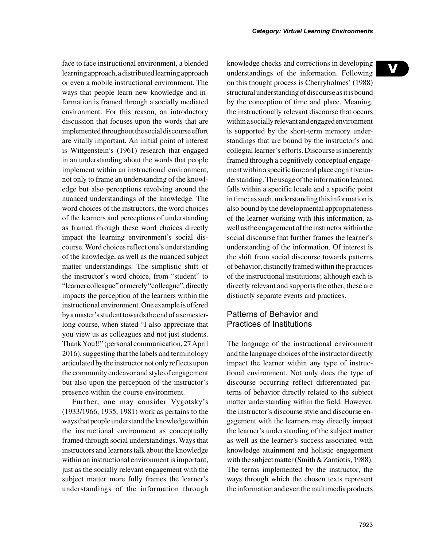V

face to face instructional environment, a blended learning approach, a distributed learning approach or even a mobile instructional environment. The ways that people learn new knowledge and information is framed through a socially mediated environment. For this reason, an introductory discussion that focuses upon the words that are implemented throughout the social discourse effort are vitally important. An initial point of interest is Wittgenstein's (1961) research that engaged in an understanding about the words that people implement within an instructional environment, not only to frame an understanding of the knowledge but also perceptions revolving around the nuanced understandings of the knowledge. The word choices of the instructors, the word choices of the learners and perceptions of understanding as framed through these word choices directly impact the learning environment's social discourse. Word choices reflect one's understanding of the knowledge, as well as the nuanced subject matter understandings. The simplistic shift of the instructor's word choice, from "student" to "learner colleague" or merely "colleague", directly impacts the perception of the learners within the instructional environment. One example is offered by a master's student towards the end of a semesterlong course, when stated "I also appreciate that you view us as colleagues and not just students. Thank You!!" (personal communication, 27 April 2016), suggesting that the labels and terminology articulated by the instructor not only reflects upon the community endeavor and style of engagement but also upon the perception of the instructor's presence within the course environment.

Further, one may consider Vygotsky's (1933/1966, 1935, 1981) work as pertains to the ways that people understand the knowledge within the instructional environment as conceptually framed through social understandings. Ways that instructors and learners talk about the knowledge within an instructional environment is important, just as the socially relevant engagement with the subject matter more fully frames the learner's understandings of the information through knowledge checks and corrections in developing understandings of the information. Following on this thought process is Cherryholmes' (1988) structural understanding of discourse as it is bound by the conception of time and place. Meaning, the instructionally relevant discourse that occurs within a socially relevant and engaged environment is supported by the short-term memory understandings that are bound by the instructor's and collegial learner's efforts. Discourse is inherently framed through a cognitively conceptual engagement within a specific time and place cognitive understanding. The usage of the information learned falls within a specific locale and a specific point in time; as such, understanding this information is also bound by the developmental appropriateness of the learner working with this information, as well as the engagement of the instructor within the social discourse that further frames the learner's understanding of the information. Of interest is the shift from social discourse towards patterns of behavior, distinctly framed within the practices of the instructional institutions; although each is directly relevant and supports the other, these are distinctly separate events and practices.

# Patterns of Behavior and Practices of Institutions

The language of the instructional environment and the language choices of the instructor directly impact the learner within any type of instructional environment. Not only does the type of discourse occurring reflect differentiated patterns of behavior directly related to the subject matter understanding within the field. However, the instructor's discourse style and discourse engagement with the learners may directly impact the learner's understanding of the subject matter as well as the learner's success associated with knowledge attainment and holistic engagement with the subject matter (Smith & Zantiotis, 1988). The terms implemented by the instructor, the ways through which the chosen texts represent the information and even the multimedia products